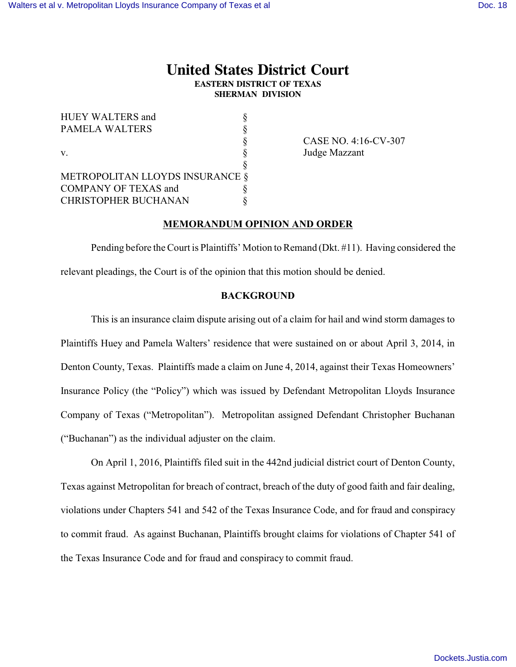# **United States District Court EASTERN DISTRICT OF TEXAS SHERMAN DIVISION**

| <b>HUEY WALTERS and</b>         |  |
|---------------------------------|--|
| <b>PAMELA WALTERS</b>           |  |
|                                 |  |
| $V_{\cdot}$                     |  |
|                                 |  |
| METROPOLITAN LLOYDS INSURANCE § |  |
| <b>COMPANY OF TEXAS and</b>     |  |
| <b>CHRISTOPHER BUCHANAN</b>     |  |

§ CASE NO. 4:16-CV-307 Judge Mazzant

### **MEMORANDUM OPINION AND ORDER**

Pending before the Court is Plaintiffs' Motion to Remand (Dkt. #11). Having considered the relevant pleadings, the Court is of the opinion that this motion should be denied.

## **BACKGROUND**

This is an insurance claim dispute arising out of a claim for hail and wind storm damages to Plaintiffs Huey and Pamela Walters' residence that were sustained on or about April 3, 2014, in Denton County, Texas. Plaintiffs made a claim on June 4, 2014, against their Texas Homeowners' Insurance Policy (the "Policy") which was issued by Defendant Metropolitan Lloyds Insurance Company of Texas ("Metropolitan"). Metropolitan assigned Defendant Christopher Buchanan ("Buchanan") as the individual adjuster on the claim.

On April 1, 2016, Plaintiffs filed suit in the 442nd judicial district court of Denton County, Texas against Metropolitan for breach of contract, breach of the duty of good faith and fair dealing, violations under Chapters 541 and 542 of the Texas Insurance Code, and for fraud and conspiracy to commit fraud. As against Buchanan, Plaintiffs brought claims for violations of Chapter 541 of the Texas Insurance Code and for fraud and conspiracy to commit fraud.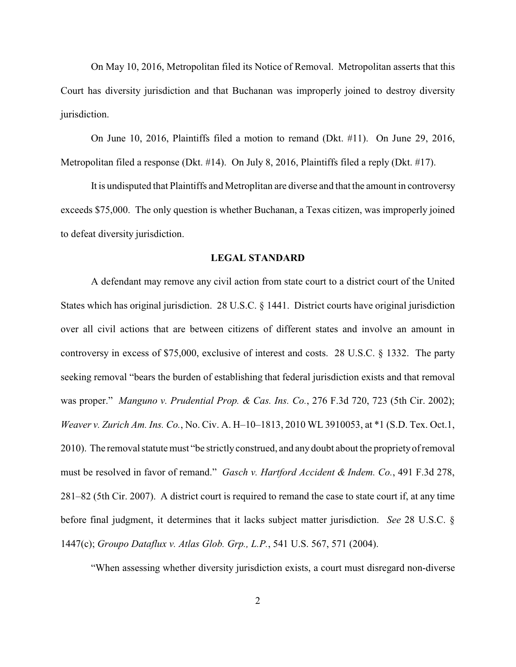On May 10, 2016, Metropolitan filed its Notice of Removal. Metropolitan asserts that this Court has diversity jurisdiction and that Buchanan was improperly joined to destroy diversity jurisdiction.

On June 10, 2016, Plaintiffs filed a motion to remand (Dkt. #11). On June 29, 2016, Metropolitan filed a response (Dkt. #14). On July 8, 2016, Plaintiffs filed a reply (Dkt. #17).

It is undisputed that Plaintiffs and Metroplitan are diverse and that the amount in controversy exceeds \$75,000. The only question is whether Buchanan, a Texas citizen, was improperly joined to defeat diversity jurisdiction.

#### **LEGAL STANDARD**

A defendant may remove any civil action from state court to a district court of the United States which has original jurisdiction. 28 U.S.C. § 1441. District courts have original jurisdiction over all civil actions that are between citizens of different states and involve an amount in controversy in excess of \$75,000, exclusive of interest and costs. 28 U.S.C. § 1332. The party seeking removal "bears the burden of establishing that federal jurisdiction exists and that removal was proper." *Manguno v. Prudential Prop. & Cas. Ins. Co.*, 276 F.3d 720, 723 (5th Cir. 2002); *Weaver v. Zurich Am. Ins. Co.*, No. Civ. A. H–10–1813, 2010 WL 3910053, at \*1 (S.D. Tex. Oct.1, 2010). The removal statute must "be strictly construed, and any doubt about the proprietyof removal must be resolved in favor of remand." *Gasch v. Hartford Accident & Indem. Co.*, 491 F.3d 278, 281–82 (5th Cir. 2007). A district court is required to remand the case to state court if, at any time before final judgment, it determines that it lacks subject matter jurisdiction. *See* 28 U.S.C. § 1447(c); *Groupo Dataflux v. Atlas Glob. Grp., L.P.*, 541 U.S. 567, 571 (2004).

"When assessing whether diversity jurisdiction exists, a court must disregard non-diverse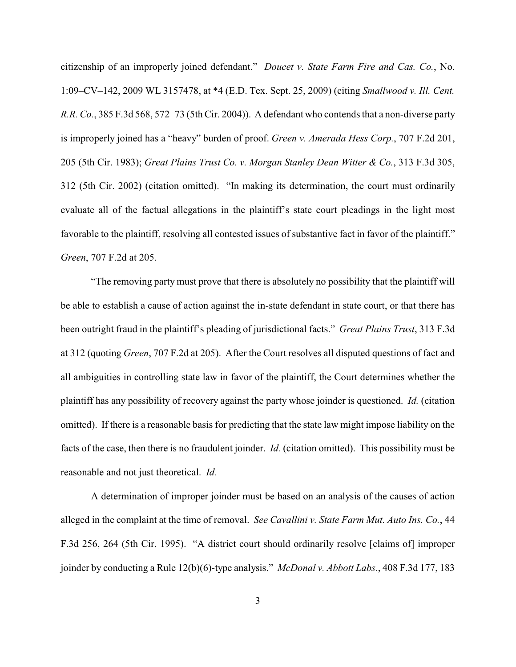citizenship of an improperly joined defendant." *Doucet v. State Farm Fire and Cas. Co.*, No. 1:09–CV–142, 2009 WL 3157478, at \*4 (E.D. Tex. Sept. 25, 2009) (citing *Smallwood v. Ill. Cent. R.R. Co.*, 385 F.3d 568, 572–73 (5th Cir. 2004)). A defendant who contends that a non-diverse party is improperly joined has a "heavy" burden of proof. *Green v. Amerada Hess Corp.*, 707 F.2d 201, 205 (5th Cir. 1983); *Great Plains Trust Co. v. Morgan Stanley Dean Witter & Co.*, 313 F.3d 305, 312 (5th Cir. 2002) (citation omitted). "In making its determination, the court must ordinarily evaluate all of the factual allegations in the plaintiff's state court pleadings in the light most favorable to the plaintiff, resolving all contested issues of substantive fact in favor of the plaintiff." *Green*, 707 F.2d at 205.

"The removing party must prove that there is absolutely no possibility that the plaintiff will be able to establish a cause of action against the in-state defendant in state court, or that there has been outright fraud in the plaintiff's pleading of jurisdictional facts." *Great Plains Trust*, 313 F.3d at 312 (quoting *Green*, 707 F.2d at 205). After the Court resolves all disputed questions of fact and all ambiguities in controlling state law in favor of the plaintiff, the Court determines whether the plaintiff has any possibility of recovery against the party whose joinder is questioned. *Id.* (citation omitted). If there is a reasonable basis for predicting that the state law might impose liability on the facts of the case, then there is no fraudulent joinder. *Id.* (citation omitted). This possibility must be reasonable and not just theoretical. *Id.*

A determination of improper joinder must be based on an analysis of the causes of action alleged in the complaint at the time of removal. *See Cavallini v. State Farm Mut. Auto Ins. Co.*, 44 F.3d 256, 264 (5th Cir. 1995). "A district court should ordinarily resolve [claims of] improper joinder by conducting a Rule 12(b)(6)-type analysis." *McDonal v. Abbott Labs.*, 408 F.3d 177, 183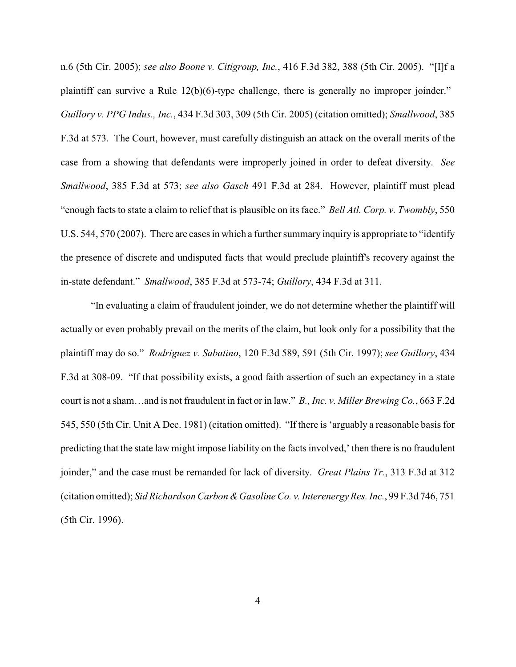n.6 (5th Cir. 2005); *see also Boone v. Citigroup, Inc.*, 416 F.3d 382, 388 (5th Cir. 2005). "[I]f a plaintiff can survive a Rule 12(b)(6)-type challenge, there is generally no improper joinder." *Guillory v. PPG Indus., Inc.*, 434 F.3d 303, 309 (5th Cir. 2005) (citation omitted); *Smallwood*, 385 F.3d at 573. The Court, however, must carefully distinguish an attack on the overall merits of the case from a showing that defendants were improperly joined in order to defeat diversity. *See Smallwood*, 385 F.3d at 573; *see also Gasch* 491 F.3d at 284. However, plaintiff must plead "enough facts to state a claim to relief that is plausible on its face." *Bell Atl. Corp. v. Twombly*, 550 U.S. 544, 570 (2007). There are cases in which a further summary inquiry is appropriate to "identify the presence of discrete and undisputed facts that would preclude plaintiff's recovery against the in-state defendant." *Smallwood*, 385 F.3d at 573-74; *Guillory*, 434 F.3d at 311.

"In evaluating a claim of fraudulent joinder, we do not determine whether the plaintiff will actually or even probably prevail on the merits of the claim, but look only for a possibility that the plaintiff may do so." *Rodriguez v. Sabatino*, 120 F.3d 589, 591 (5th Cir. 1997); *see Guillory*, 434 F.3d at 308-09. "If that possibility exists, a good faith assertion of such an expectancy in a state court is not a sham…and is not fraudulent in fact or in law." *B., Inc. v. Miller Brewing Co.*, 663 F.2d 545, 550 (5th Cir. Unit A Dec. 1981) (citation omitted). "If there is 'arguably a reasonable basis for predicting that the state law might impose liability on the facts involved,' then there is no fraudulent joinder," and the case must be remanded for lack of diversity. *Great Plains Tr.*, 313 F.3d at 312 (citation omitted); *Sid Richardson Carbon &Gasoline Co. v. Interenergy Res. Inc.*, 99 F.3d 746, 751 (5th Cir. 1996).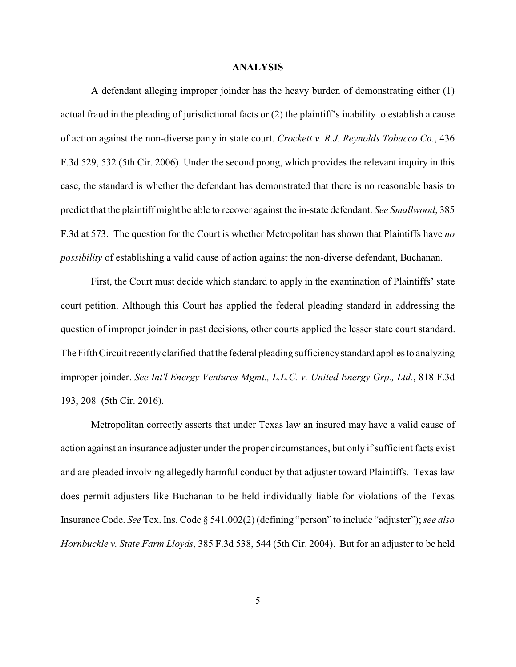#### **ANALYSIS**

A defendant alleging improper joinder has the heavy burden of demonstrating either (1) actual fraud in the pleading of jurisdictional facts or (2) the plaintiff's inability to establish a cause of action against the non-diverse party in state court. *Crockett v. R.J. Reynolds Tobacco Co.*, 436 F.3d 529, 532 (5th Cir. 2006). Under the second prong, which provides the relevant inquiry in this case, the standard is whether the defendant has demonstrated that there is no reasonable basis to predict that the plaintiff might be able to recover against the in-state defendant. *See Smallwood*, 385 F.3d at 573. The question for the Court is whether Metropolitan has shown that Plaintiffs have *no possibility* of establishing a valid cause of action against the non-diverse defendant, Buchanan.

First, the Court must decide which standard to apply in the examination of Plaintiffs' state court petition. Although this Court has applied the federal pleading standard in addressing the question of improper joinder in past decisions, other courts applied the lesser state court standard. The Fifth Circuit recentlyclarified that the federal pleading sufficiencystandard applies to analyzing improper joinder. *See Int'l Energy Ventures Mgmt., L.L.C. v. United Energy Grp., Ltd.*, 818 F.3d 193, 208 (5th Cir. 2016).

Metropolitan correctly asserts that under Texas law an insured may have a valid cause of action against an insurance adjuster under the proper circumstances, but only if sufficient facts exist and are pleaded involving allegedly harmful conduct by that adjuster toward Plaintiffs. Texas law does permit adjusters like Buchanan to be held individually liable for violations of the Texas Insurance Code. *See* Tex. Ins. Code § 541.002(2) (defining "person" to include "adjuster"); *see also Hornbuckle v. State Farm Lloyds*, 385 F.3d 538, 544 (5th Cir. 2004). But for an adjuster to be held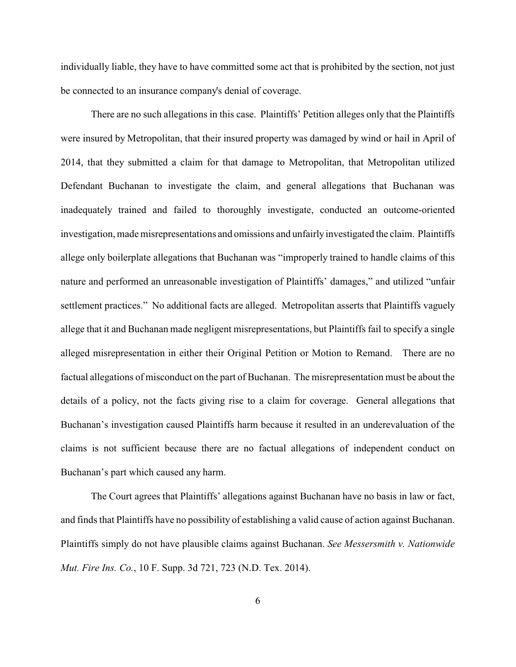individually liable, they have to have committed some act that is prohibited by the section, not just be connected to an insurance company's denial of coverage.

There are no such allegations in this case. Plaintiffs' Petition alleges only that the Plaintiffs were insured by Metropolitan, that their insured property was damaged by wind or hail in April of 2014, that they submitted a claim for that damage to Metropolitan, that Metropolitan utilized Defendant Buchanan to investigate the claim, and general allegations that Buchanan was inadequately trained and failed to thoroughly investigate, conducted an outcome-oriented investigation, made misrepresentations and omissions and unfairlyinvestigated the claim. Plaintiffs allege only boilerplate allegations that Buchanan was "improperly trained to handle claims of this nature and performed an unreasonable investigation of Plaintiffs' damages," and utilized "unfair settlement practices." No additional facts are alleged. Metropolitan asserts that Plaintiffs vaguely allege that it and Buchanan made negligent misrepresentations, but Plaintiffs fail to specify a single alleged misrepresentation in either their Original Petition or Motion to Remand. There are no factual allegations of misconduct on the part of Buchanan. The misrepresentation must be about the details of a policy, not the facts giving rise to a claim for coverage. General allegations that Buchanan's investigation caused Plaintiffs harm because it resulted in an underevaluation of the claims is not sufficient because there are no factual allegations of independent conduct on Buchanan's part which caused any harm.

The Court agrees that Plaintiffs' allegations against Buchanan have no basis in law or fact, and finds that Plaintiffs have no possibility of establishing a valid cause of action against Buchanan. Plaintiffs simply do not have plausible claims against Buchanan. *See Messersmith v. Nationwide Mut. Fire Ins. Co.*, 10 F. Supp. 3d 721, 723 (N.D. Tex. 2014).